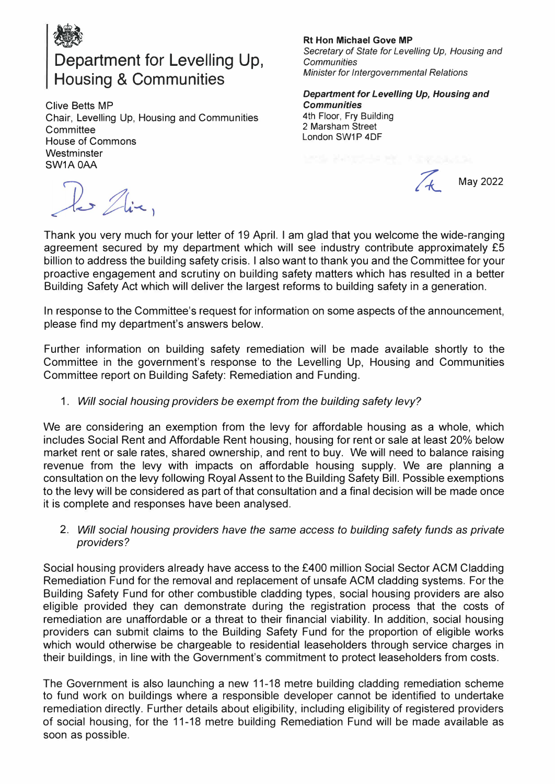

# **\*\*\***<br>Department for Levelling Up, Housing & Communities

Clive Betts MP Chair, Levelling Up, Housing and Communities **Committee** House of Commons **Westminster** SW1A 0AA

les Aix,

#### **Rt Hon Michael Gove MP**

*Secretary of State for Levelling Up, Housing and Communities Minister for Intergovernmental Relations* 

*Department for Levelling Up, Housing and Communities*  4th Floor, Fry Building 2 Marsham Street London SW1P 4DF

*/4\_* May 2022

Thank you very much for your letter of 19 April. I am glad that you welcome the wide-ranging agreement secured by my department which will see industry contribute approximately £5 billion to address the building safety crisis. I also want to thank you and the Committee for your proactive engagement and scrutiny on building safety matters which has resulted in a better Building Safety Act which will deliver the largest reforms to building safety in a generation.

In response to the Committee's request for information on some aspects of the announcement, please find my department's answers below.

Further information on building safety remediation will be made available shortly to the Committee in the government's response to the Levelling Up, Housing and Communities Committee report on Building Safety: Remediation and Funding.

### 1. *Will social housing providers be exempt from the building safety levy?*

We are considering an exemption from the levy for affordable housing as a whole, which includes Social Rent and Affordable Rent housing, housing for rent or sale at least 20% below market rent or sale rates, shared ownership, and rent to buy. We will need to balance raising revenue from the levy with impacts on affordable housing supply. We are planning a consultation on the levy following Royal Assent to the Building Safety Bill. Possible exemptions to the levy will be considered as part of that consultation and a final decision will be made once it is complete and responses have been analysed.

2. *Will social housing providers have the same access to building safety funds as private providers?*

Social housing providers already have access to the £400 million Social Sector ACM Cladding Remediation Fund for the removal and replacement of unsafe ACM cladding systems. For the Building Safety Fund for other combustible cladding types, social housing providers are also eligible provided they can demonstrate during the registration process that the costs of remediation are unaffordable or a threat to their financial viability. In addition, social housing providers can submit claims to the Building Safety Fund for the proportion of eligible works which would otherwise be chargeable to residential leaseholders through service charges in their buildings, in line with the Government's commitment to protect leaseholders from costs.

The Government is also launching a new 11-18 metre building cladding remediation scheme to fund work on buildings where a responsible developer cannot be identified to undertake remediation directly. Further details about eligibility, including eligibility of registered providers of social housing, for the 11-18 metre building Remediation Fund will be made available as soon as possible.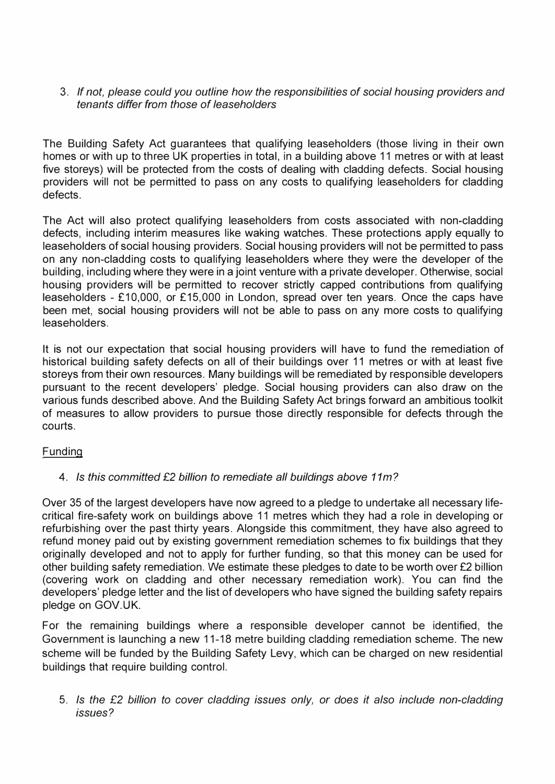## 3. *If not, please could you outline how the responsibilities of social housing providers and tenants differ from those of leaseholders*

The Building Safety Act guarantees that qualifying leaseholders (those living in their own homes or with up to three UK properties in total, in a building above 11 metres or with at least five storeys) will be protected from the costs of dealing with cladding defects. Social housing providers will not be permitted to pass on any costs to qualifying leaseholders for cladding defects.

The Act will also protect qualifying leaseholders from costs associated with non-cladding defects, including interim measures like waking watches. These protections apply equally to leaseholders of social housing providers. Social housing providers will not be permitted to pass on any non-cladding costs to qualifying leaseholders where they were the developer of the building, including where they were in a joint venture with a private developer. Otherwise, social housing providers will be permitted to recover strictly capped contributions from qualifying leaseholders - £10,000, or £15,000 in London, spread over ten years. Once the caps have been met, social housing providers will not be able to pass on any more costs to qualifying leaseholders.

It is not our expectation that social housing providers will have to fund the remediation of historical building safety defects on all of their buildings over 11 metres or with at least five storeys from their own resources. Many buildings will be remediated by responsible developers pursuant to the recent developers' pledge. Social housing providers can also draw on the various funds described above. And the Building Safety Act brings forward an ambitious toolkit of measures to allow providers to pursue those directly responsible for defects through the courts.

# Funding

# 4. *Is this committed £2 billion to remediate all buildings above 11m?*

Over 35 of the largest developers have now agreed to a pledge to undertake all necessary lifecritical fire-safety work on buildings above 11 metres which they had a role in developing or refurbishing over the past thirty years. Alongside this commitment, they have also agreed to refund money paid out by existing government remediation schemes to fix buildings that they originally developed and not to apply for further funding, so that this money can be used for other building safety remediation. We estimate these pledges to date to be worth over £2 billion (covering work on cladding and other necessary remediation work). You can find the developers' pledge letter and the list of developers who have signed the building safety repairs pledge on GOV.UK.

For the remaining buildings where a responsible developer cannot be identified, the Government is launching a new 11-18 metre building cladding remediation scheme. The new scheme will be funded by the Building Safety Levy, which can be charged on new residential buildings that require building control.

5. *Is the £2 billion to cover cladding issues only, or does it also include non-cladding issues?*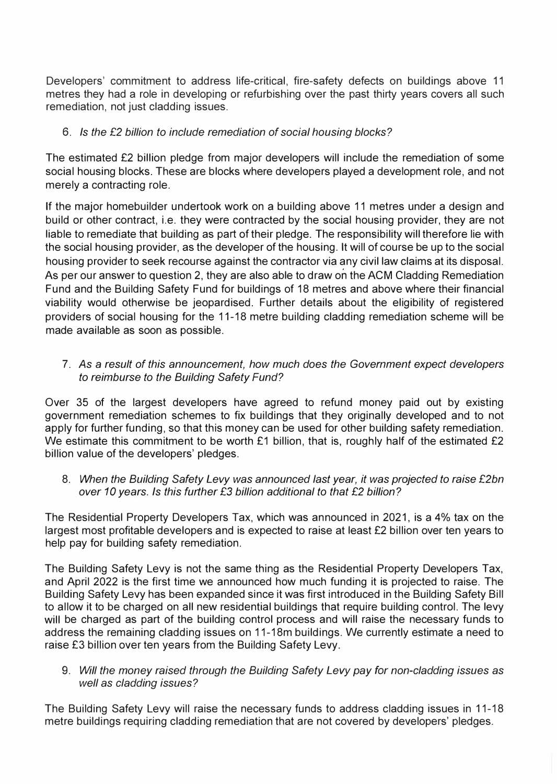Developers' commitment to address life-critical, fire-safety defects on buildings above 11 metres they had a role in developing or refurbishing over the past thirty years covers all such remediation, not just cladding issues.

# 6. *Is the £2 billion to include remediation of social housing blocks?*

The estimated £2 billion pledge from major developers will include the remediation of some social housing blocks. These are blocks where developers played a development role, and not merely a contracting role.

If the major homebuilder undertook work on a building above 11 metres under a design and build or other contract, i.e. they were contracted by the social housing provider, they are not liable to remediate that building as part of their pledge. The responsibility will therefore lie with the social housing provider, as the developer of the housing. It will of course be up to the social housing provider to seek recourse against the contractor via any civil law claims at its disposal. As per our answer to question 2, they are also able to draw on the ACM Cladding Remediation Fund and the Building Safety Fund for buildings of 18 metres and above where their financial viability would otherwise be jeopardised. Further details about the eligibility of registered providers of social housing for the 11-18 metre building cladding remediation scheme will be made available as soon as possible.

# 7. *As* a *result of this announcement, how much does the Government expect developers to reimburse to the Building Safety Fund?*

Over 35 of the largest developers have agreed to refund money paid out by existing government remediation schemes to fix buildings that they originally developed and to not apply for further funding, so that this money can be used for other building safety remediation. We estimate this commitment to be worth £1 billion, that is, roughly half of the estimated £2 billion value of the developers' pledges.

8. *When the Building Safety Levy was announced last year, it was projected to raise £2bn over 10 years. Is this further £3 billion additional to that £2 billion?*

The Residential Property Developers Tax, which was announced in 2021, is a 4% tax on the largest most profitable developers and is expected to raise at least £2 billion over ten years to help pay for building safety remediation.

The Building Safety Levy is not the same thing as the Residential Property Developers Tax, and April 2022 is the first time we announced how much funding it is projected to raise. The Building Safety Levy has been expanded since it was first introduced in the Building Safety Bill to allow it to be charged on all new residential buildings that require building control. The levy will be charged as part of the building control process and will raise the necessary funds to address the remaining cladding issues on 11-18m buildings. We currently estimate a need to raise £3 billion over ten years from the Building Safety Levy.

9. *Will the money raised through the Building Safety Levy pay for non-cladding issues as well as cladding issues?*

The Building Safety Levy will raise the necessary funds to address cladding issues in 11-18 metre buildings requiring cladding remediation that are not covered by developers' pledges.